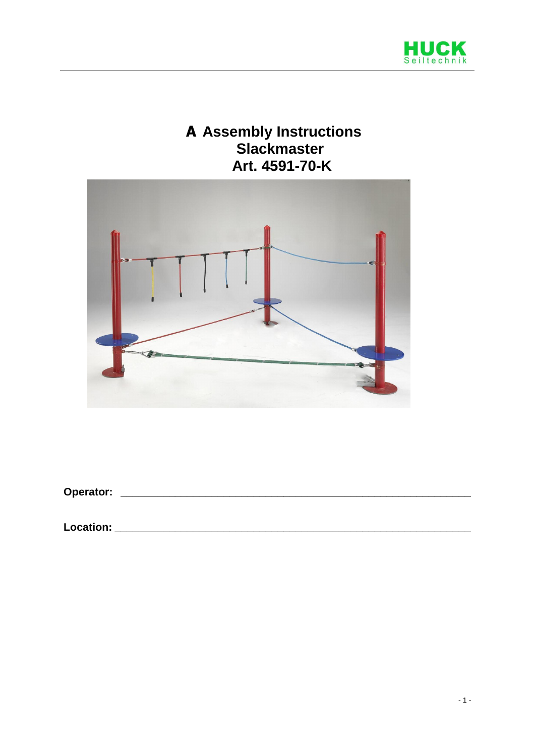

# **A Assembly Instructions Slackmaster Art. 4591-70-K**



**Operator: \_\_\_\_\_\_\_\_\_\_\_\_\_\_\_\_\_\_\_\_\_\_\_\_\_\_\_\_\_\_\_\_\_\_\_\_\_\_\_\_\_\_\_\_\_\_\_\_\_\_\_\_\_\_\_\_\_\_**

**Location: \_\_\_\_\_\_\_\_\_\_\_\_\_\_\_\_\_\_\_\_\_\_\_\_\_\_\_\_\_\_\_\_\_\_\_\_\_\_\_\_\_\_\_\_\_\_\_\_\_\_\_\_\_\_\_\_\_\_\_**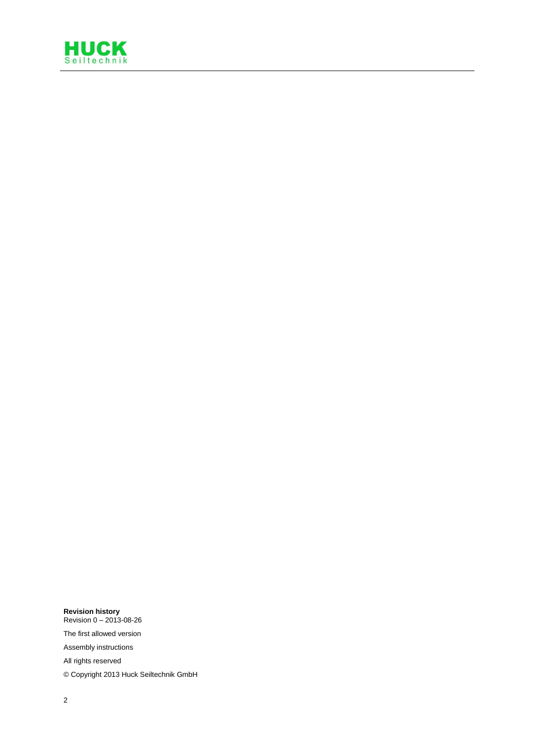

**Revision history** Revision 0 – 2013-08-26 The first allowed version Assembly instructions All rights reserved © Copyright 2013 Huck Seiltechnik GmbH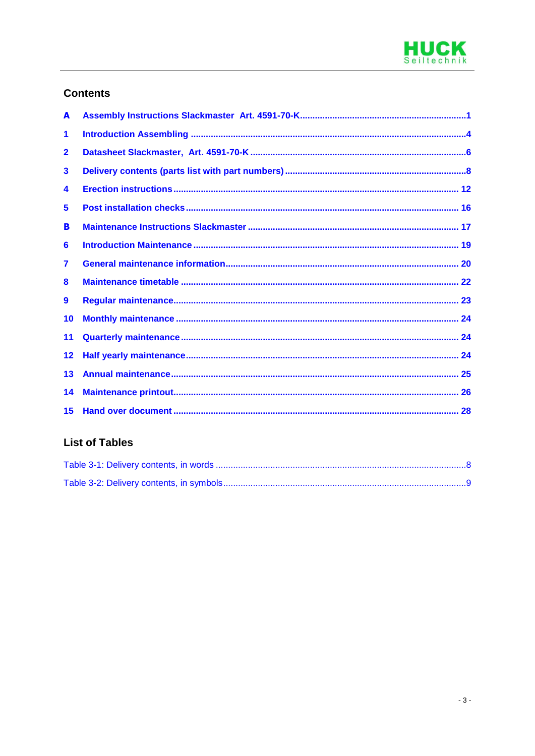

## **Contents**

| A                |  |
|------------------|--|
| 1                |  |
| $\mathbf{2}$     |  |
| $\mathbf{3}$     |  |
| 4                |  |
| 5                |  |
| В                |  |
| 6                |  |
| 7                |  |
| 8                |  |
| $\boldsymbol{9}$ |  |
| 10               |  |
| 11               |  |
| 12               |  |
| 13               |  |
| 14               |  |
| 15               |  |

## **List of Tables**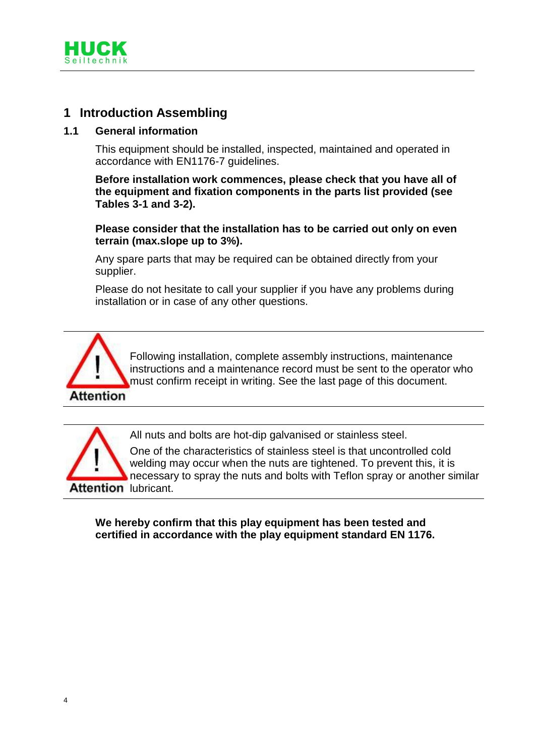

# **1 Introduction Assembling**

#### **1.1 General information**

This equipment should be installed, inspected, maintained and operated in accordance with EN1176-7 guidelines.

**Before installation work commences, please check that you have all of the equipment and fixation components in the parts list provided (see Tables 3-1 and 3-2).**

**Please consider that the installation has to be carried out only on even terrain (max.slope up to 3%).**

Any spare parts that may be required can be obtained directly from your supplier.

Please do not hesitate to call your supplier if you have any problems during installation or in case of any other questions.



Following installation, complete assembly instructions, maintenance instructions and a maintenance record must be sent to the operator who must confirm receipt in writing. See the last page of this document.



All nuts and bolts are hot-dip galvanised or stainless steel.

One of the characteristics of stainless steel is that uncontrolled cold welding may occur when the nuts are tightened. To prevent this, it is necessary to spray the nuts and bolts with Teflon spray or another similar

**We hereby confirm that this play equipment has been tested and certified in accordance with the play equipment standard EN 1176.**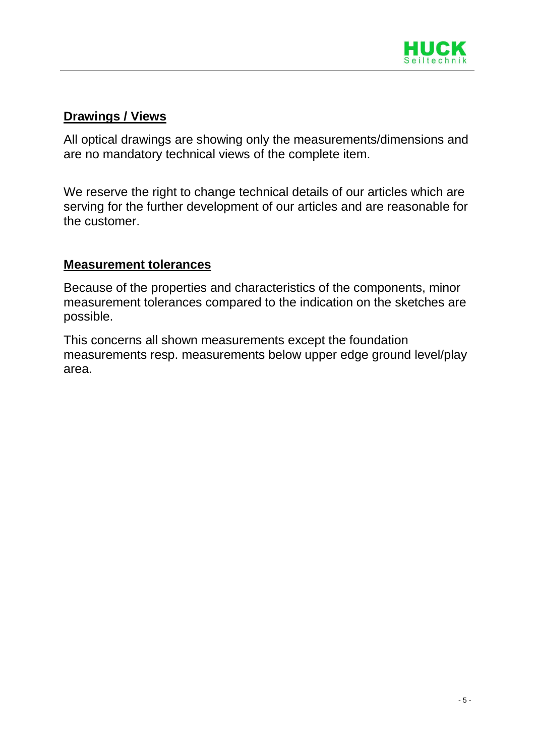

# **Drawings / Views**

All optical drawings are showing only the measurements/dimensions and are no mandatory technical views of the complete item.

We reserve the right to change technical details of our articles which are serving for the further development of our articles and are reasonable for the customer.

# **Measurement tolerances**

Because of the properties and characteristics of the components, minor measurement tolerances compared to the indication on the sketches are possible.

This concerns all shown measurements except the foundation measurements resp. measurements below upper edge ground level/play area.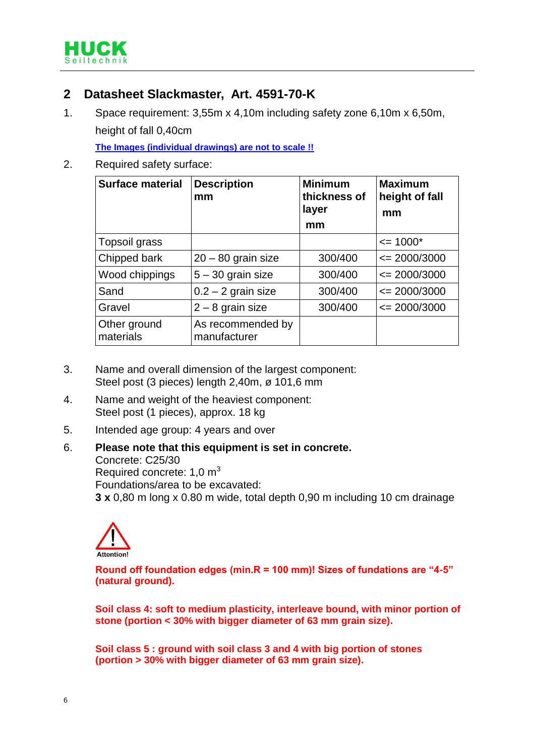

# **2 Datasheet Slackmaster, Art. 4591-70-K**

1. Space requirement: 3,55m x 4,10m including safety zone 6,10m x 6,50m, height of fall 0,40cm

**The Images (individual drawings) are not to scale !!**

2. Required safety surface:

| <b>Description</b><br><b>Surface material</b><br>mm |                                   | <b>Minimum</b><br>thickness of<br>layer<br>mm | <b>Maximum</b><br>height of fall<br>mm |
|-----------------------------------------------------|-----------------------------------|-----------------------------------------------|----------------------------------------|
| Topsoil grass                                       |                                   |                                               | $\le$ 1000*                            |
| Chipped bark                                        | $20 - 80$ grain size              | 300/400                                       | $\epsilon$ = 2000/3000                 |
| Wood chippings                                      | $5 - 30$ grain size               | 300/400                                       | $\leq$ 2000/3000                       |
| Sand                                                | $0.2 - 2$ grain size              | 300/400                                       | $\epsilon$ = 2000/3000                 |
| Gravel                                              | $2 - 8$ grain size                | 300/400                                       | $\leq$ 2000/3000                       |
| Other ground<br>materials                           | As recommended by<br>manufacturer |                                               |                                        |

- 3. Name and overall dimension of the largest component: Steel post (3 pieces) length 2,40m, ø 101,6 mm
- 4. Name and weight of the heaviest component: Steel post (1 pieces), approx. 18 kg
- 5. Intended age group: 4 years and over

#### 6. **Please note that this equipment is set in concrete.**

Concrete: C25/30 Required concrete: 1,0  $m<sup>3</sup>$ Foundations/area to be excavated: **3 x** 0,80 m long x 0.80 m wide, total depth 0,90 m including 10 cm drainage



**Round off foundation edges (min.R = 100 mm)! Sizes of fundations are "4-5" (natural ground).**

**Soil class 4: soft to medium plasticity, interleave bound, with minor portion of stone (portion < 30% with bigger diameter of 63 mm grain size).**

**Soil class 5 : ground with soil class 3 and 4 with big portion of stones (portion > 30% with bigger diameter of 63 mm grain size).**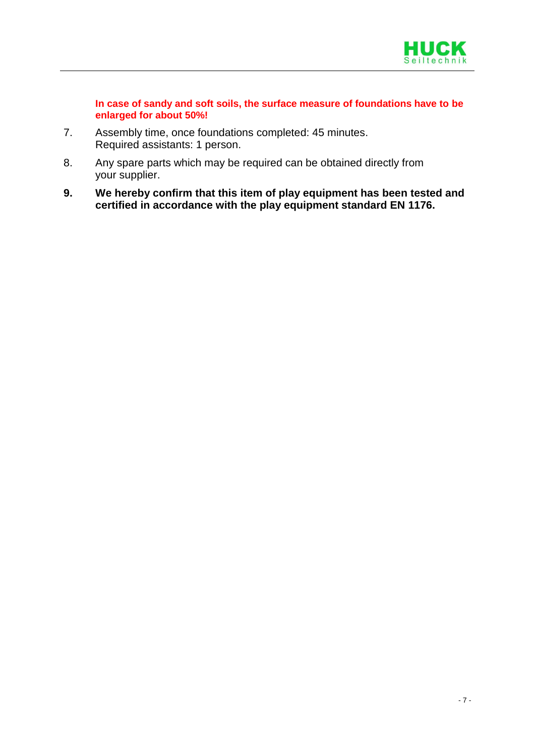

**In case of sandy and soft soils, the surface measure of foundations have to be enlarged for about 50%!**

- 7. Assembly time, once foundations completed: 45 minutes. Required assistants: 1 person.
- 8. Any spare parts which may be required can be obtained directly from your supplier.
- **9. We hereby confirm that this item of play equipment has been tested and certified in accordance with the play equipment standard EN 1176.**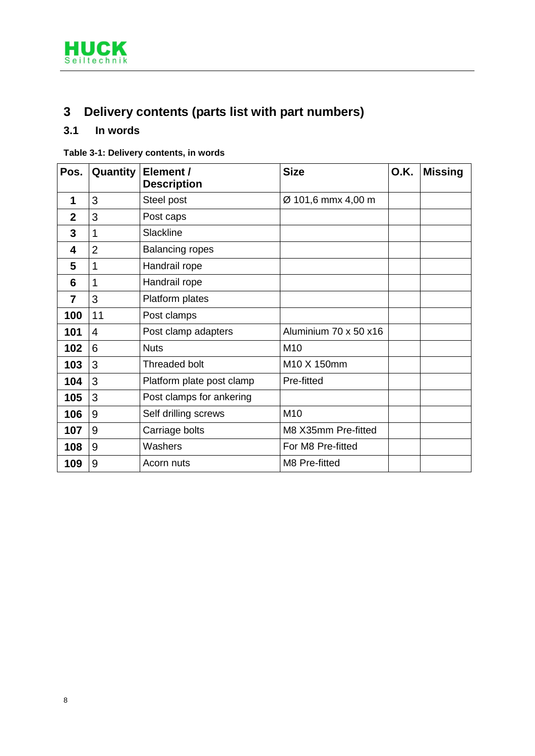

# **Delivery contents (parts list with part numbers)**

### **3.1 In words**

#### **Table 3-1: Delivery contents, in words**

| Pos.           | <b>Quantity</b> | Element /<br><b>Description</b> | <b>Size</b>           | 0.K. | <b>Missing</b> |
|----------------|-----------------|---------------------------------|-----------------------|------|----------------|
| 1              | 3               | Steel post                      | Ø 101,6 mmx 4,00 m    |      |                |
| $\mathbf{2}$   | 3               | Post caps                       |                       |      |                |
| 3              | 1               | Slackline                       |                       |      |                |
| 4              | $\overline{2}$  | <b>Balancing ropes</b>          |                       |      |                |
| 5              | 1               | Handrail rope                   |                       |      |                |
| 6              | 1               | Handrail rope                   |                       |      |                |
| $\overline{7}$ | 3               | Platform plates                 |                       |      |                |
| 100            | 11              | Post clamps                     |                       |      |                |
| 101            | $\overline{4}$  | Post clamp adapters             | Aluminium 70 x 50 x16 |      |                |
| 102            | 6               | <b>Nuts</b>                     | M10                   |      |                |
| 103            | 3               | Threaded bolt                   | M10 X 150mm           |      |                |
| 104            | 3               | Platform plate post clamp       | Pre-fitted            |      |                |
| 105            | 3               | Post clamps for ankering        |                       |      |                |
| 106            | 9               | Self drilling screws            | M10                   |      |                |
| 107            | 9               | Carriage bolts                  | M8 X35mm Pre-fitted   |      |                |
| 108            | 9               | Washers                         | For M8 Pre-fitted     |      |                |
| 109            | 9               | Acorn nuts                      | M8 Pre-fitted         |      |                |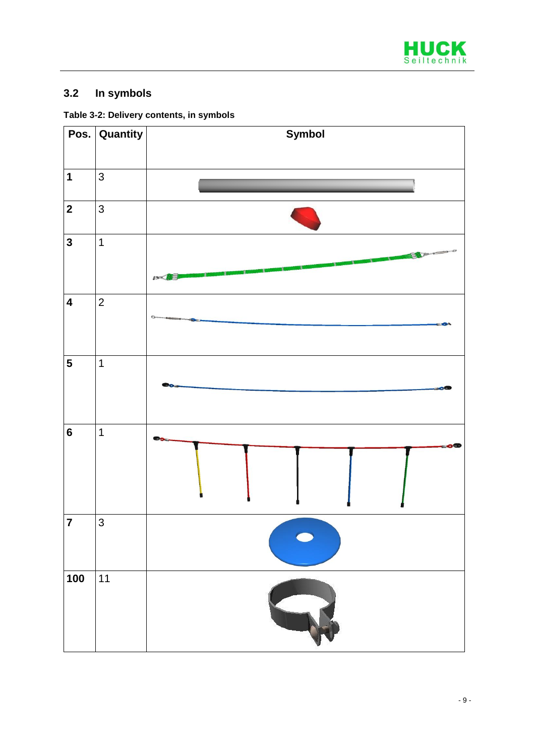

## **3.2 In symbols**

# **Table 3-2: Delivery contents, in symbols**

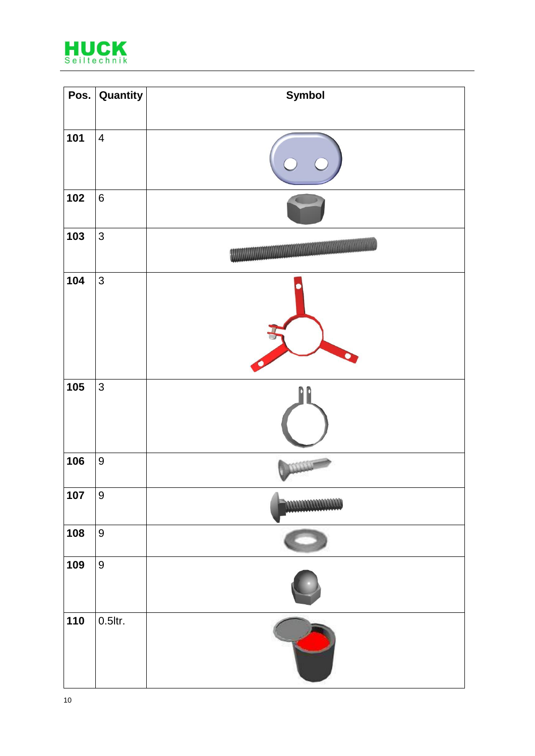

| Pos. | Quantity         | Symbol |
|------|------------------|--------|
|      |                  |        |
| 101  | $\overline{4}$   |        |
| 102  | $\,6\,$          |        |
| 103  | $\mathfrak{S}$   |        |
| 104  | 3                |        |
| 105  | $\mathbf{3}$     |        |
| 106  | $\boldsymbol{9}$ |        |
| 107  | $\overline{9}$   |        |
| 108  | $\boldsymbol{9}$ |        |
| 109  | $\boldsymbol{9}$ |        |
| 110  | $0.5$ ltr.       |        |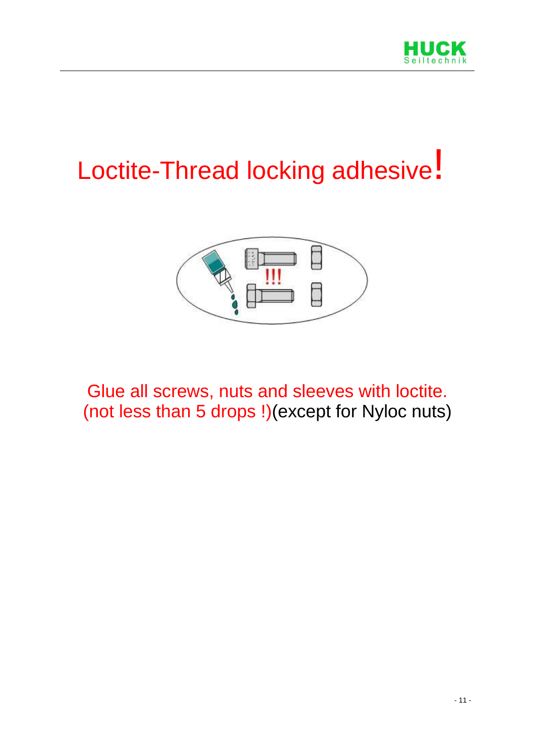

# Loctite-Thread locking adhesive!



Glue all screws, nuts and sleeves with loctite. (not less than 5 drops !)(except for Nyloc nuts)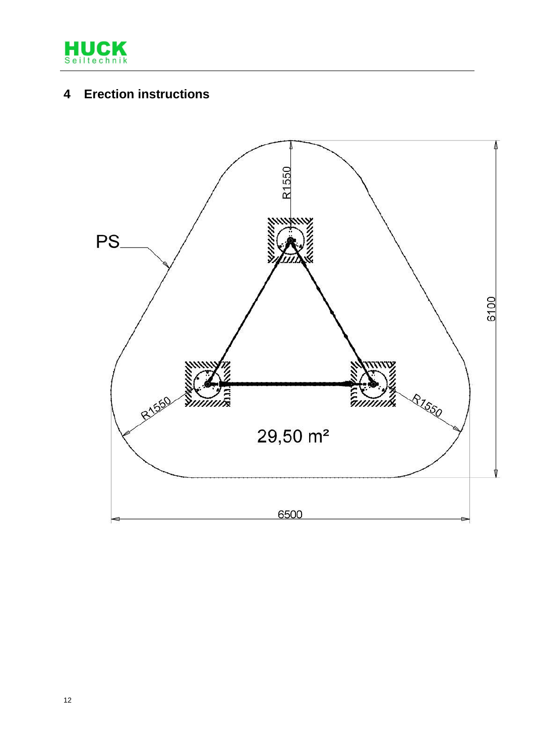

# **Erection instructions**

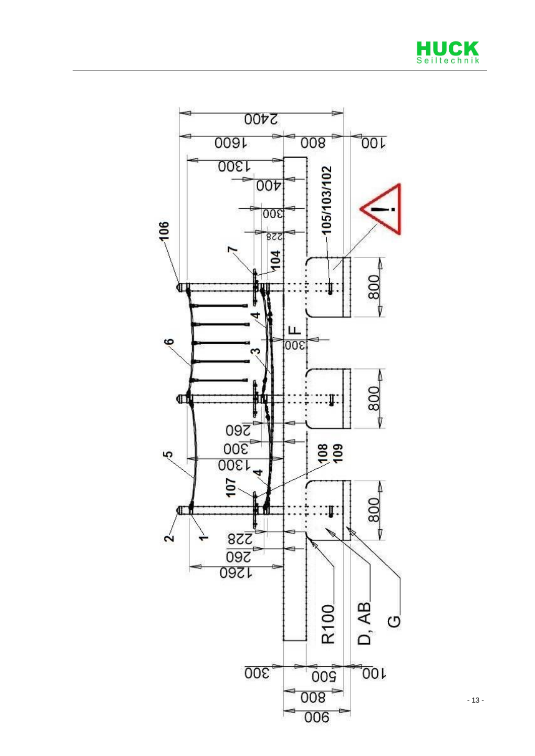

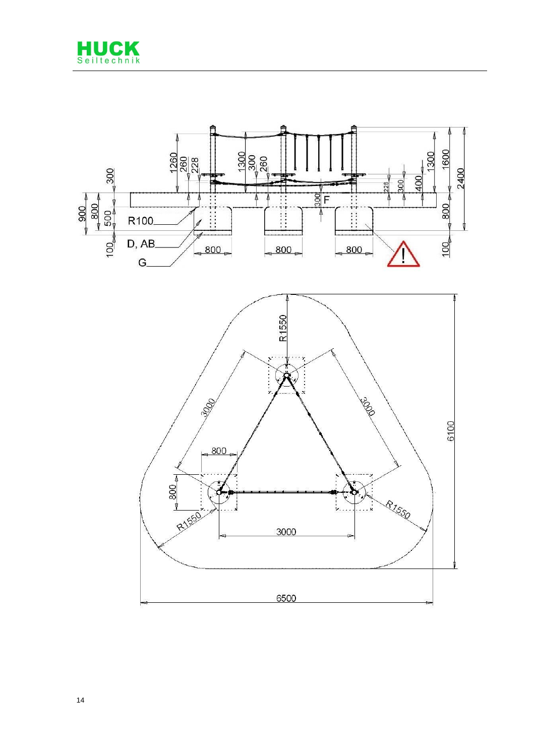

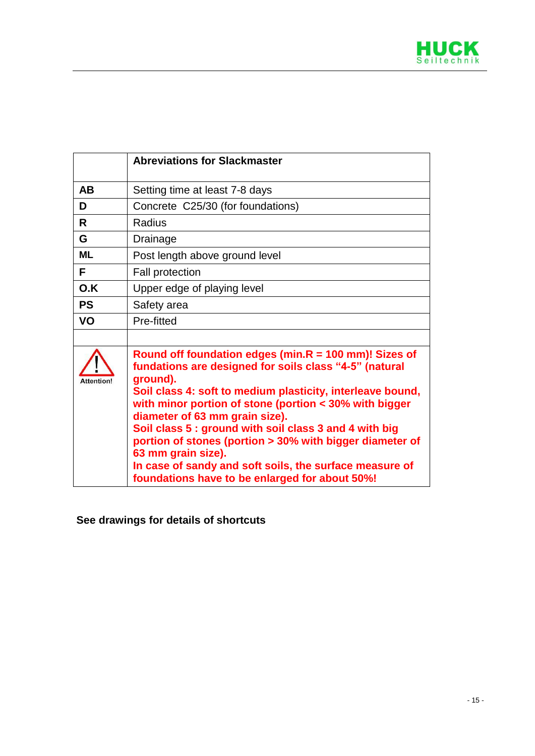

|            | <b>Abreviations for Slackmaster</b>                                                                                                                                                                                                                                                                                                                                                                                                                                                                                                            |  |  |  |
|------------|------------------------------------------------------------------------------------------------------------------------------------------------------------------------------------------------------------------------------------------------------------------------------------------------------------------------------------------------------------------------------------------------------------------------------------------------------------------------------------------------------------------------------------------------|--|--|--|
| AB         | Setting time at least 7-8 days                                                                                                                                                                                                                                                                                                                                                                                                                                                                                                                 |  |  |  |
| D          | Concrete C25/30 (for foundations)                                                                                                                                                                                                                                                                                                                                                                                                                                                                                                              |  |  |  |
| R          | Radius                                                                                                                                                                                                                                                                                                                                                                                                                                                                                                                                         |  |  |  |
| G          | Drainage                                                                                                                                                                                                                                                                                                                                                                                                                                                                                                                                       |  |  |  |
| <b>ML</b>  | Post length above ground level                                                                                                                                                                                                                                                                                                                                                                                                                                                                                                                 |  |  |  |
| F          | <b>Fall protection</b>                                                                                                                                                                                                                                                                                                                                                                                                                                                                                                                         |  |  |  |
| O.K        | Upper edge of playing level                                                                                                                                                                                                                                                                                                                                                                                                                                                                                                                    |  |  |  |
| <b>PS</b>  | Safety area                                                                                                                                                                                                                                                                                                                                                                                                                                                                                                                                    |  |  |  |
| VO         | Pre-fitted                                                                                                                                                                                                                                                                                                                                                                                                                                                                                                                                     |  |  |  |
|            |                                                                                                                                                                                                                                                                                                                                                                                                                                                                                                                                                |  |  |  |
| Attention! | Round off foundation edges (min.R = 100 mm)! Sizes of<br>fundations are designed for soils class "4-5" (natural<br>ground).<br>Soil class 4: soft to medium plasticity, interleave bound,<br>with minor portion of stone (portion < 30% with bigger<br>diameter of 63 mm grain size).<br>Soil class 5 : ground with soil class 3 and 4 with big<br>portion of stones (portion > 30% with bigger diameter of<br>63 mm grain size).<br>In case of sandy and soft soils, the surface measure of<br>foundations have to be enlarged for about 50%! |  |  |  |

**See drawings for details of shortcuts**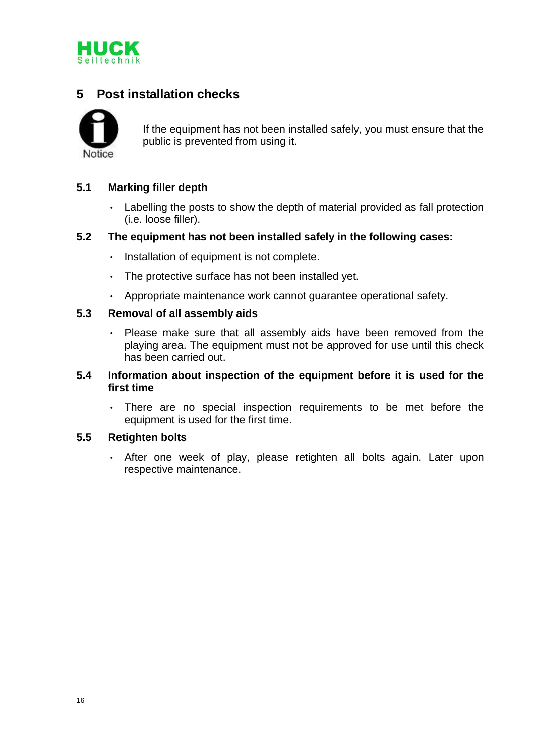

# **5 Post installation checks**



If the equipment has not been installed safely, you must ensure that the public is prevented from using it.

#### **5.1 Marking filler depth**

• Labelling the posts to show the depth of material provided as fall protection (i.e. loose filler).

#### **5.2 The equipment has not been installed safely in the following cases:**

- Installation of equipment is not complete.
- The protective surface has not been installed yet.
- Appropriate maintenance work cannot guarantee operational safety.

#### **5.3 Removal of all assembly aids**

• Please make sure that all assembly aids have been removed from the playing area. The equipment must not be approved for use until this check has been carried out.

#### **5.4 Information about inspection of the equipment before it is used for the first time**

• There are no special inspection requirements to be met before the equipment is used for the first time.

#### **5.5 Retighten bolts**

• After one week of play, please retighten all bolts again. Later upon respective maintenance.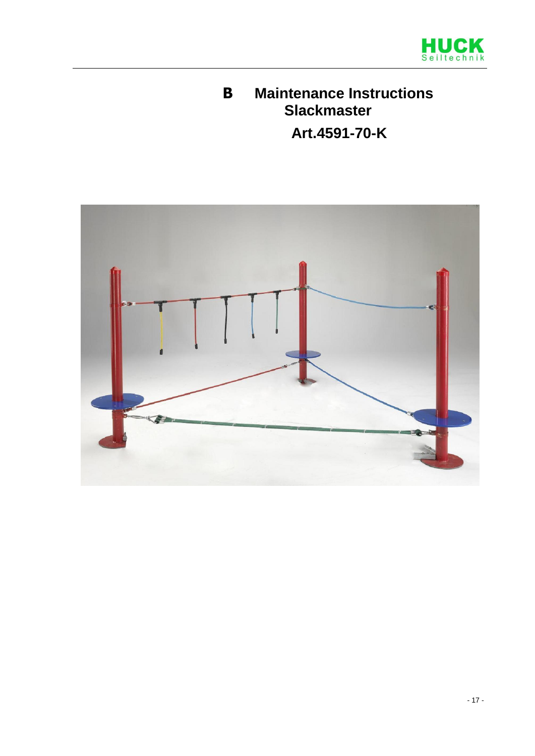

# **B Maintenance Instructions Slackmaster Art.4591-70-K**

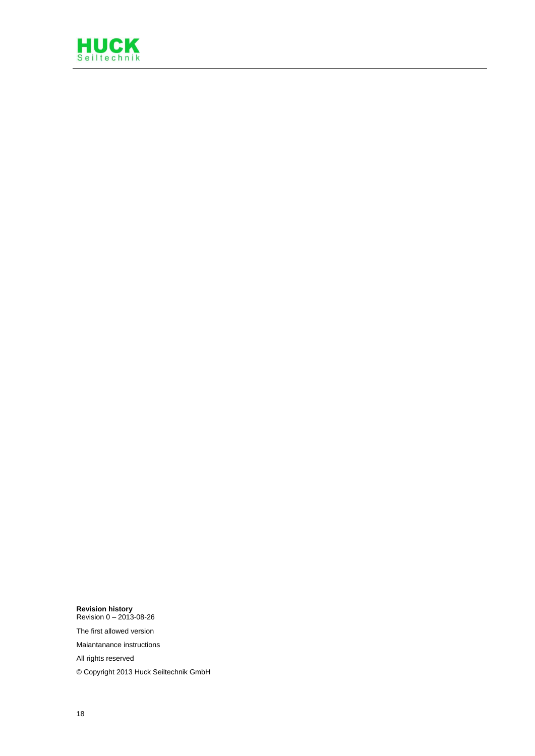

**Revision history** Revision 0 – 2013-08-26 The first allowed version Maiantanance instructions All rights reserved © Copyright 2013 Huck Seiltechnik GmbH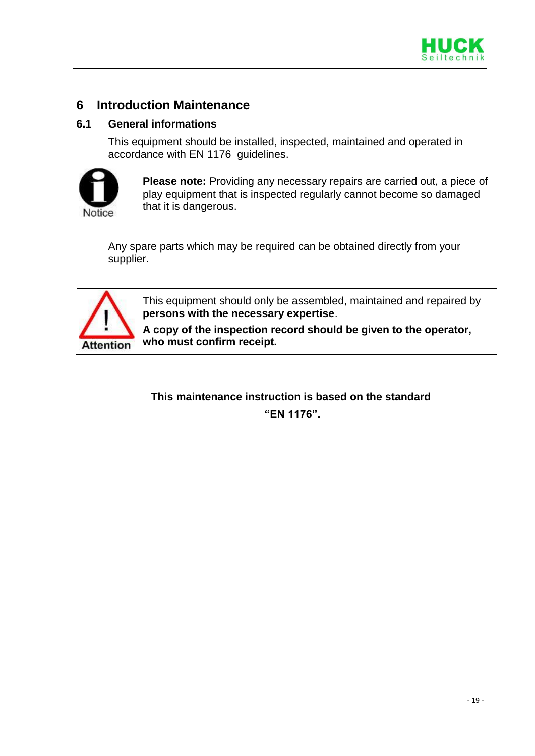

# **6 Introduction Maintenance**

#### **6.1 General informations**

This equipment should be installed, inspected, maintained and operated in accordance with EN 1176 guidelines.



**Please note:** Providing any necessary repairs are carried out, a piece of play equipment that is inspected regularly cannot become so damaged that it is dangerous.

Any spare parts which may be required can be obtained directly from your supplier.



This equipment should only be assembled, maintained and repaired by **persons with the necessary expertise**.

**A copy of the inspection record should be given to the operator, who must confirm receipt.**

**This maintenance instruction is based on the standard "EN 1176".**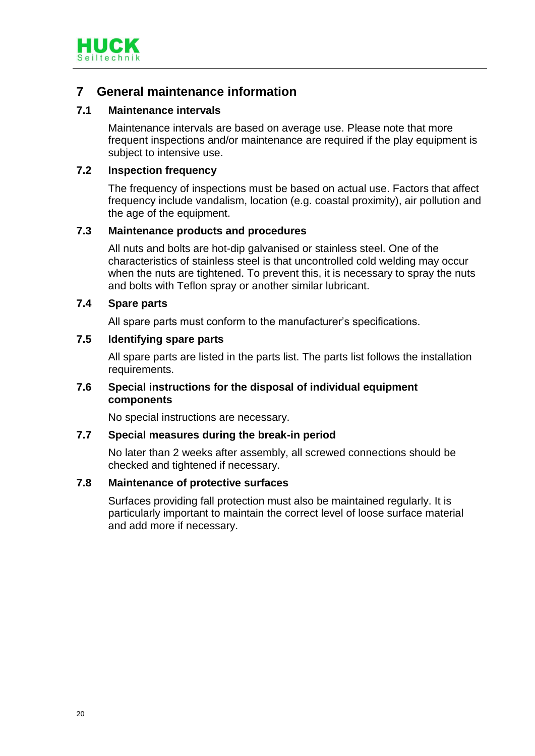

# **7 General maintenance information**

#### **7.1 Maintenance intervals**

Maintenance intervals are based on average use. Please note that more frequent inspections and/or maintenance are required if the play equipment is subject to intensive use.

#### **7.2 Inspection frequency**

The frequency of inspections must be based on actual use. Factors that affect frequency include vandalism, location (e.g. coastal proximity), air pollution and the age of the equipment.

#### **7.3 Maintenance products and procedures**

All nuts and bolts are hot-dip galvanised or stainless steel. One of the characteristics of stainless steel is that uncontrolled cold welding may occur when the nuts are tightened. To prevent this, it is necessary to spray the nuts and bolts with Teflon spray or another similar lubricant.

#### **7.4 Spare parts**

All spare parts must conform to the manufacturer's specifications.

#### **7.5 Identifying spare parts**

All spare parts are listed in the parts list. The parts list follows the installation requirements.

#### **7.6 Special instructions for the disposal of individual equipment components**

No special instructions are necessary.

#### **7.7 Special measures during the break-in period**

No later than 2 weeks after assembly, all screwed connections should be checked and tightened if necessary.

#### **7.8 Maintenance of protective surfaces**

Surfaces providing fall protection must also be maintained regularly. It is particularly important to maintain the correct level of loose surface material and add more if necessary.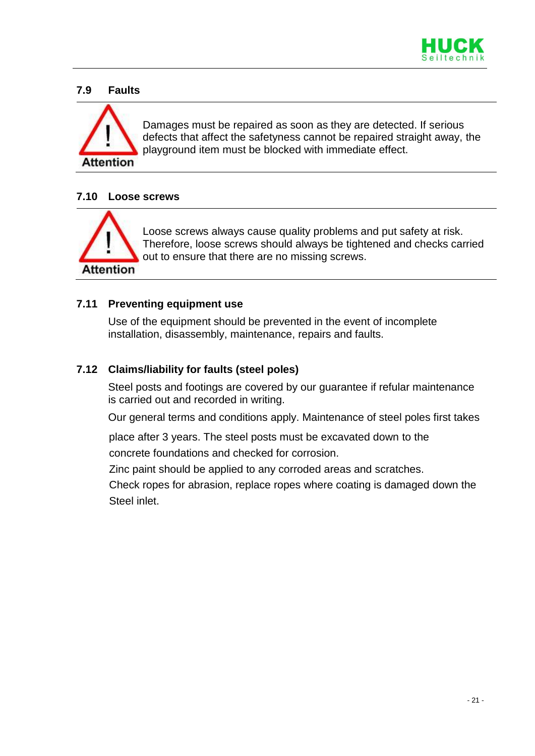

#### **7.9 Faults**



Damages must be repaired as soon as they are detected. If serious defects that affect the safetyness cannot be repaired straight away, the playground item must be blocked with immediate effect.

#### **7.10 Loose screws**



Loose screws always cause quality problems and put safety at risk. Therefore, loose screws should always be tightened and checks carried out to ensure that there are no missing screws.

#### **7.11 Preventing equipment use**

Use of the equipment should be prevented in the event of incomplete installation, disassembly, maintenance, repairs and faults.

#### **7.12 Claims/liability for faults (steel poles)**

Steel posts and footings are covered by our guarantee if refular maintenance is carried out and recorded in writing.

Our general terms and conditions apply. Maintenance of steel poles first takes

 place after 3 years. The steel posts must be excavated down to the concrete foundations and checked for corrosion.

Zinc paint should be applied to any corroded areas and scratches.

 Check ropes for abrasion, replace ropes where coating is damaged down the Steel inlet.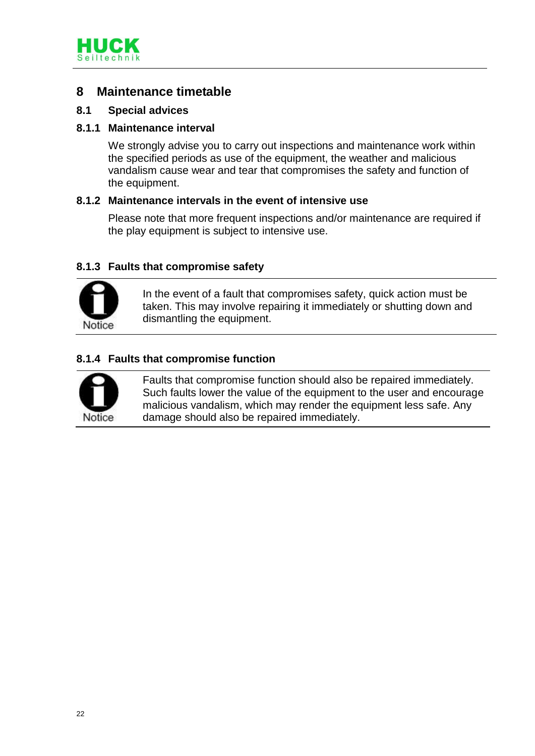

# **8 Maintenance timetable**

#### **8.1 Special advices**

#### **8.1.1 Maintenance interval**

We strongly advise you to carry out inspections and maintenance work within the specified periods as use of the equipment, the weather and malicious vandalism cause wear and tear that compromises the safety and function of the equipment.

#### **8.1.2 Maintenance intervals in the event of intensive use**

Please note that more frequent inspections and/or maintenance are required if the play equipment is subject to intensive use.

#### **8.1.3 Faults that compromise safety**



In the event of a fault that compromises safety, quick action must be taken. This may involve repairing it immediately or shutting down and dismantling the equipment.

#### **8.1.4 Faults that compromise function**



Faults that compromise function should also be repaired immediately. Such faults lower the value of the equipment to the user and encourage malicious vandalism, which may render the equipment less safe. Any damage should also be repaired immediately.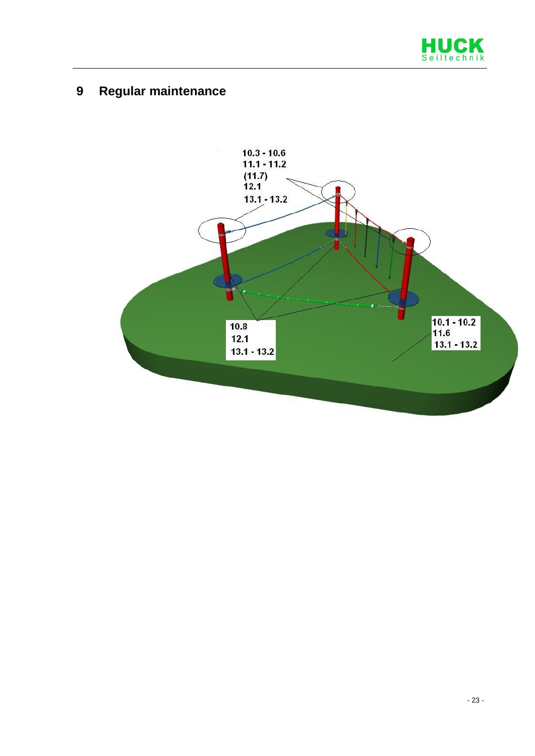

# **9 Regular maintenance**

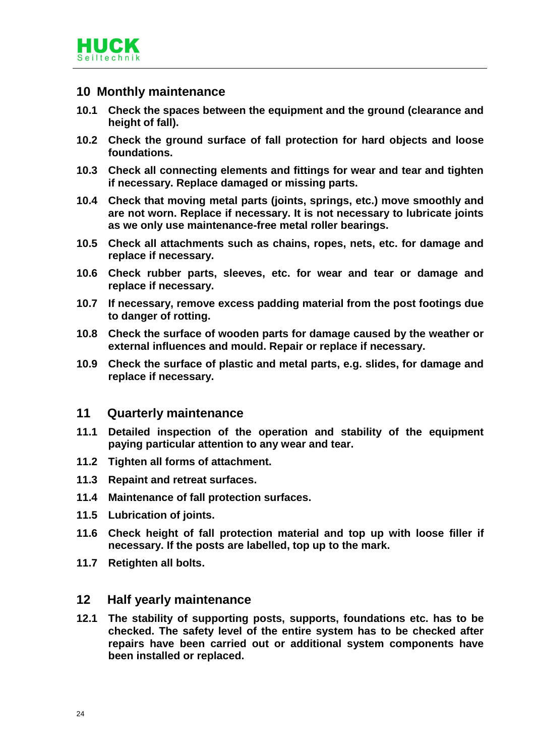

#### **10 Monthly maintenance**

- **10.1 Check the spaces between the equipment and the ground (clearance and height of fall).**
- **10.2 Check the ground surface of fall protection for hard objects and loose foundations.**
- **10.3 Check all connecting elements and fittings for wear and tear and tighten if necessary. Replace damaged or missing parts.**
- **10.4 Check that moving metal parts (joints, springs, etc.) move smoothly and are not worn. Replace if necessary. It is not necessary to lubricate joints as we only use maintenance-free metal roller bearings.**
- **10.5 Check all attachments such as chains, ropes, nets, etc. for damage and replace if necessary.**
- **10.6 Check rubber parts, sleeves, etc. for wear and tear or damage and replace if necessary.**
- **10.7 If necessary, remove excess padding material from the post footings due to danger of rotting.**
- **10.8 Check the surface of wooden parts for damage caused by the weather or external influences and mould. Repair or replace if necessary.**
- **10.9 Check the surface of plastic and metal parts, e.g. slides, for damage and replace if necessary.**

#### **11 Quarterly maintenance**

- **11.1 Detailed inspection of the operation and stability of the equipment paying particular attention to any wear and tear.**
- **11.2 Tighten all forms of attachment.**
- **11.3 Repaint and retreat surfaces.**
- **11.4 Maintenance of fall protection surfaces.**
- **11.5 Lubrication of joints.**
- **11.6 Check height of fall protection material and top up with loose filler if necessary. If the posts are labelled, top up to the mark.**
- **11.7 Retighten all bolts.**

#### **12 Half yearly maintenance**

**12.1 The stability of supporting posts, supports, foundations etc. has to be checked. The safety level of the entire system has to be checked after repairs have been carried out or additional system components have been installed or replaced.**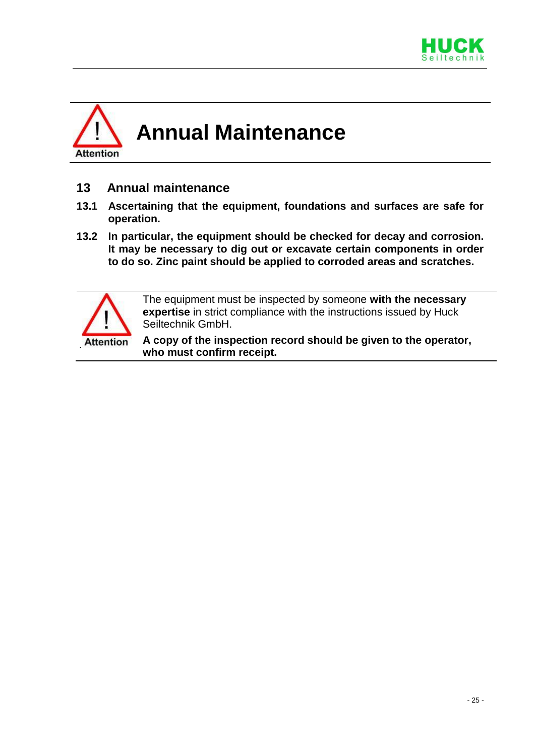



## **13 Annual maintenance**

- **13.1 Ascertaining that the equipment, foundations and surfaces are safe for operation.**
- **13.2 In particular, the equipment should be checked for decay and corrosion. It may be necessary to dig out or excavate certain components in order to do so. Zinc paint should be applied to corroded areas and scratches.**



The equipment must be inspected by someone **with the necessary expertise** in strict compliance with the instructions issued by Huck Seiltechnik GmbH.

**A copy of the inspection record should be given to the operator, who must confirm receipt.**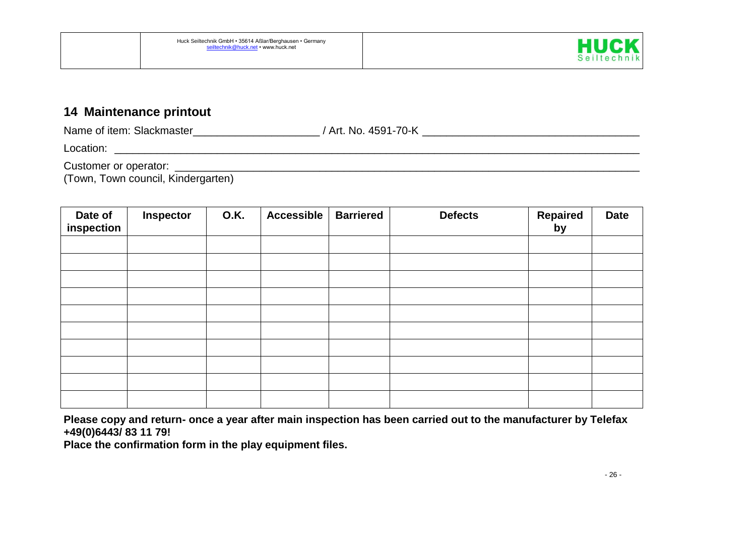

# **14 Maintenance printout**

| Name of item: Slackmaster          | / Art. No. 4591-70-K |
|------------------------------------|----------------------|
| Location:                          |                      |
| Customer or operator:              |                      |
| (Town, Town council, Kindergarten) |                      |

| Date of<br>inspection | Inspector | <b>O.K.</b> | <b>Accessible</b> | <b>Barriered</b> | <b>Defects</b> | <b>Repaired</b><br>by | <b>Date</b> |
|-----------------------|-----------|-------------|-------------------|------------------|----------------|-----------------------|-------------|
|                       |           |             |                   |                  |                |                       |             |
|                       |           |             |                   |                  |                |                       |             |
|                       |           |             |                   |                  |                |                       |             |
|                       |           |             |                   |                  |                |                       |             |
|                       |           |             |                   |                  |                |                       |             |
|                       |           |             |                   |                  |                |                       |             |
|                       |           |             |                   |                  |                |                       |             |
|                       |           |             |                   |                  |                |                       |             |
|                       |           |             |                   |                  |                |                       |             |
|                       |           |             |                   |                  |                |                       |             |

**Please copy and return- once a year after main inspection has been carried out to the manufacturer by Telefax +49(0)6443/ 83 11 79!**

**Place the confirmation form in the play equipment files.**